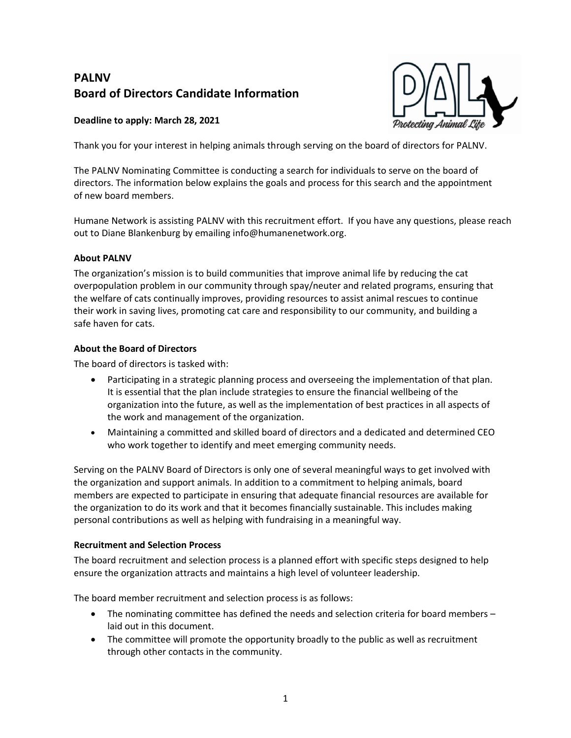# **PALNV Board of Directors Candidate Information**

## **Deadline to apply: March 28, 2021**



Thank you for your interest in helping animals through serving on the board of directors for PALNV.

The PALNV Nominating Committee is conducting a search for individuals to serve on the board of directors. The information below explains the goals and process for this search and the appointment of new board members.

Humane Network is assisting PALNV with this recruitment effort. If you have any questions, please reach out to Diane Blankenburg by emailing info@humanenetwork.org.

#### **About PALNV**

The organization's mission is to build communities that improve animal life by reducing the cat overpopulation problem in our community through spay/neuter and related programs, ensuring that the welfare of cats continually improves, providing resources to assist animal rescues to continue their work in saving lives, promoting cat care and responsibility to our community, and building a safe haven for cats.

#### **About the Board of Directors**

The board of directors is tasked with:

- Participating in a strategic planning process and overseeing the implementation of that plan. It is essential that the plan include strategies to ensure the financial wellbeing of the organization into the future, as well as the implementation of best practices in all aspects of the work and management of the organization.
- Maintaining a committed and skilled board of directors and a dedicated and determined CEO who work together to identify and meet emerging community needs.

Serving on the PALNV Board of Directors is only one of several meaningful ways to get involved with the organization and support animals. In addition to a commitment to helping animals, board members are expected to participate in ensuring that adequate financial resources are available for the organization to do its work and that it becomes financially sustainable. This includes making personal contributions as well as helping with fundraising in a meaningful way.

#### **Recruitment and Selection Process**

The board recruitment and selection process is a planned effort with specific steps designed to help ensure the organization attracts and maintains a high level of volunteer leadership.

The board member recruitment and selection process is as follows:

- The nominating committee has defined the needs and selection criteria for board members laid out in this document.
- The committee will promote the opportunity broadly to the public as well as recruitment through other contacts in the community.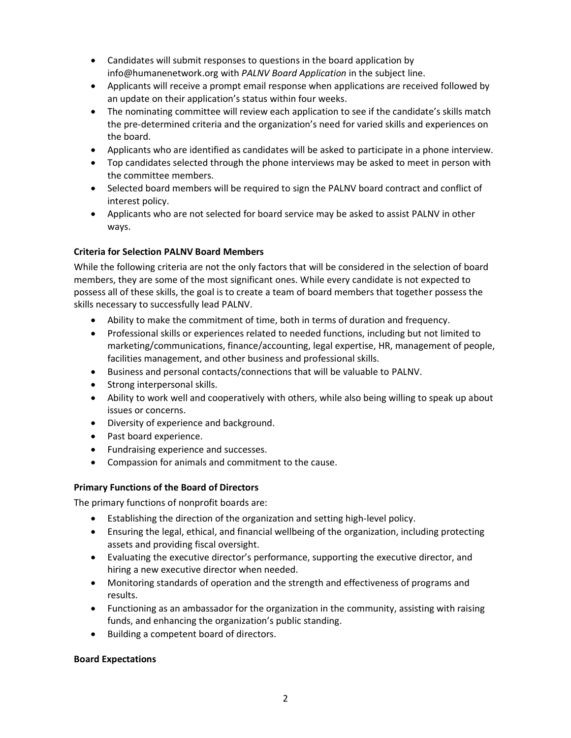- Candidates will submit responses to questions in the board application by info@humanenetwork.org with *PALNV Board Application* in the subject line.
- Applicants will receive a prompt email response when applications are received followed by an update on their application's status within four weeks.
- The nominating committee will review each application to see if the candidate's skills match the pre-determined criteria and the organization's need for varied skills and experiences on the board.
- Applicants who are identified as candidates will be asked to participate in a phone interview.
- Top candidates selected through the phone interviews may be asked to meet in person with the committee members.
- Selected board members will be required to sign the PALNV board contract and conflict of interest policy.
- Applicants who are not selected for board service may be asked to assist PALNV in other ways.

# **Criteria for Selection PALNV Board Members**

While the following criteria are not the only factors that will be considered in the selection of board members, they are some of the most significant ones. While every candidate is not expected to possess all of these skills, the goal is to create a team of board members that together possess the skills necessary to successfully lead PALNV.

- Ability to make the commitment of time, both in terms of duration and frequency.
- Professional skills or experiences related to needed functions, including but not limited to marketing/communications, finance/accounting, legal expertise, HR, management of people, facilities management, and other business and professional skills.
- Business and personal contacts/connections that will be valuable to PALNV.
- Strong interpersonal skills.
- Ability to work well and cooperatively with others, while also being willing to speak up about issues or concerns.
- Diversity of experience and background.
- Past board experience.
- Fundraising experience and successes.
- Compassion for animals and commitment to the cause.

## **Primary Functions of the Board of Directors**

The primary functions of nonprofit boards are:

- Establishing the direction of the organization and setting high-level policy.
- Ensuring the legal, ethical, and financial wellbeing of the organization, including protecting assets and providing fiscal oversight.
- Evaluating the executive director's performance, supporting the executive director, and hiring a new executive director when needed.
- Monitoring standards of operation and the strength and effectiveness of programs and results.
- Functioning as an ambassador for the organization in the community, assisting with raising funds, and enhancing the organization's public standing.
- Building a competent board of directors.

## **Board Expectations**